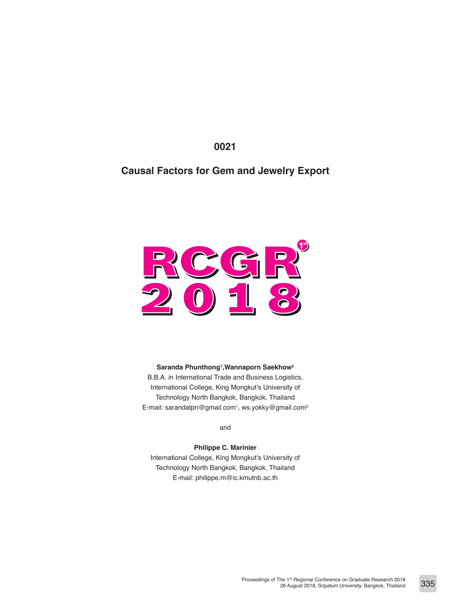**0021**

# **Causal Factors for Gem and Jewelry Export**



#### **Saranda Phunthong1 ,Wannaporn Saekhow2**

B.B.A. in International Trade and Business Logistics, International College, King Mongkut's University of Technology North Bangkok, Bangkok, Thailand E-mail: sarandatpn@gmail.com<sup>1</sup>, ws.yokky@gmail.com<sup>2</sup>

and

**Philippe C. Marinier** International College, King Mongkut's University of Technology North Bangkok, Bangkok, Thailand E-mail: philippe.m@ic.kmutnb.ac.th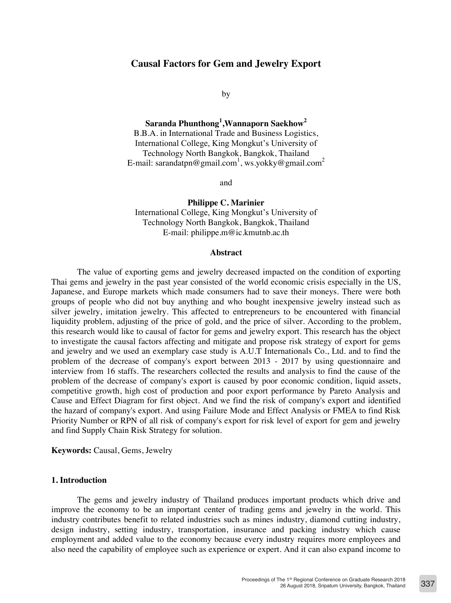# **Causal Factors for Gem and Jewelry Export**

by

**Saranda Phunthong<sup>1</sup> ,Wannaporn Saekhow<sup>2</sup>** B.B.A. in International Trade and Business Logistics, International College, King Mongkut's University of Technology North Bangkok, Bangkok, Thailand E-mail: sarandatpn@gmail.com<sup>1</sup>, ws.yokky@gmail.com<sup>2</sup>

and

**Philippe C. Marinier** International College, King Mongkut's University of Technology North Bangkok, Bangkok, Thailand E-mail: philippe.m@ic.kmutnb.ac.th

#### **Abstract**

The value of exporting gems and jewelry decreased impacted on the condition of exporting Thai gems and jewelry in the past year consisted of the world economic crisis especially in the US, Japanese, and Europe markets which made consumers had to save their moneys. There were both groups of people who did not buy anything and who bought inexpensive jewelry instead such as silver jewelry, imitation jewelry. This affected to entrepreneurs to be encountered with financial liquidity problem, adjusting of the price of gold, and the price of silver. According to the problem, this research would like to causal of factor for gems and jewelry export. This research has the object to investigate the causal factors affecting and mitigate and propose risk strategy of export for gems and jewelry and we used an exemplary case study is A.U.T Internationals Co., Ltd. and to find the problem of the decrease of company's export between 2013 - 2017 by using questionnaire and interview from 16 staffs. The researchers collected the results and analysis to find the cause of the problem of the decrease of company's export is caused by poor economic condition, liquid assets, competitive growth, high cost of production and poor export performance by Pareto Analysis and Cause and Effect Diagram for first object. And we find the risk of company's export and identified the hazard of company's export. And using Failure Mode and Effect Analysis or FMEA to find Risk Priority Number or RPN of all risk of company's export for risk level of export for gem and jewelry and find Supply Chain Risk Strategy for solution.

**Keywords:** Causal, Gems, Jewelry

### **1. Introduction**

The gems and jewelry industry of Thailand produces important products which drive and improve the economy to be an important center of trading gems and jewelry in the world. This industry contributes benefit to related industries such as mines industry, diamond cutting industry, design industry, setting industry, transportation, insurance and packing industry which cause employment and added value to the economy because every industry requires more employees and also need the capability of employee such as experience or expert. And it can also expand income to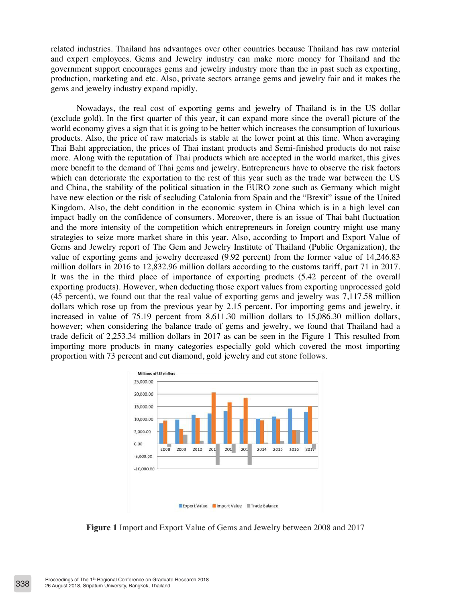related industries. Thailand has advantages over other countries because Thailand has raw material and expert employees. Gems and Jewelry industry can make more money for Thailand and the government support encourages gems and jewelry industry more than the in past such as exporting, production, marketing and etc. Also, private sectors arrange gems and jewelry fair and it makes the gems and jewelry industry expand rapidly.

Nowadays, the real cost of exporting gems and jewelry of Thailand is in the US dollar (exclude gold). In the first quarter of this year, it can expand more since the overall picture of the world economy gives a sign that it is going to be better which increases the consumption of luxurious products. Also, the price of raw materials is stable at the lower point at this time. When averaging Thai Baht appreciation, the prices of Thai instant products and Semi-finished products do not raise more. Along with the reputation of Thai products which are accepted in the world market, this gives more benefit to the demand of Thai gems and jewelry. Entrepreneurs have to observe the risk factors which can deteriorate the exportation to the rest of this year such as the trade war between the US and China, the stability of the political situation in the EURO zone such as Germany which might have new election or the risk of secluding Catalonia from Spain and the "Brexit" issue of the United Kingdom. Also, the debt condition in the economic system in China which is in a high level can impact badly on the confidence of consumers. Moreover, there is an issue of Thai baht fluctuation and the more intensity of the competition which entrepreneurs in foreign country might use many strategies to seize more market share in this year. Also, according to Import and Export Value of Gems and Jewelry report of The Gem and Jewelry Institute of Thailand (Public Organization), the value of exporting gems and jewelry decreased (9.92 percent) from the former value of 14,246.83 million dollars in 2016 to 12,832.96 million dollars according to the customs tariff, part 71 in 2017. It was the in the third place of importance of exporting products (5.42 percent of the overall exporting products). However, when deducting those export values from exporting unprocessed gold (45 percent), we found out that the real value of exporting gems and jewelry was 7,117.58 million dollars which rose up from the previous year by 2.15 percent. For importing gems and jewelry, it increased in value of 75.19 percent from 8,611.30 million dollars to 15,086.30 million dollars, however; when considering the balance trade of gems and jewelry, we found that Thailand had a trade deficit of 2,253.34 million dollars in 2017 as can be seen in the Figure 1 This resulted from importing more products in many categories especially gold which covered the most importing proportion with 73 percent and cut diamond, gold jewelry and cut stone follows.



**Figure 1** Import and Export Value of Gems and Jewelry between 2008 and 2017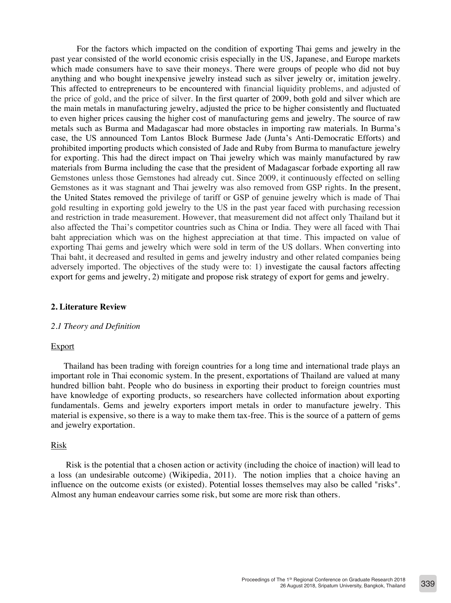For the factors which impacted on the condition of exporting Thai gems and jewelry in the past year consisted of the world economic crisis especially in the US, Japanese, and Europe markets which made consumers have to save their moneys. There were groups of people who did not buy anything and who bought inexpensive jewelry instead such as silver jewelry or, imitation jewelry. This affected to entrepreneurs to be encountered with financial liquidity problems, and adjusted of the price of gold, and the price of silver. In the first quarter of 2009, both gold and silver which are the main metals in manufacturing jewelry, adjusted the price to be higher consistently and fluctuated to even higher prices causing the higher cost of manufacturing gems and jewelry. The source of raw metals such as Burma and Madagascar had more obstacles in importing raw materials. In Burma's case, the US announced Tom Lantos Block Burmese Jade (Junta's Anti-Democratic Efforts) and prohibited importing products which consisted of Jade and Ruby from Burma to manufacture jewelry for exporting. This had the direct impact on Thai jewelry which was mainly manufactured by raw materials from Burma including the case that the president of Madagascar forbade exporting all raw Gemstones unless those Gemstones had already cut. Since 2009, it continuously effected on selling Gemstones as it was stagnant and Thai jewelry was also removed from GSP rights. In the present, the United States removed the privilege of tariff or GSP of genuine jewelry which is made of Thai gold resulting in exporting gold jewelry to the US in the past year faced with purchasing recession and restriction in trade measurement. However, that measurement did not affect only Thailand but it also affected the Thai's competitor countries such as China or India. They were all faced with Thai baht appreciation which was on the highest appreciation at that time. This impacted on value of exporting Thai gems and jewelry which were sold in term of the US dollars. When converting into Thai baht, it decreased and resulted in gems and jewelry industry and other related companies being adversely imported. The objectives of the study were to: 1) investigate the causal factors affecting export for gems and jewelry, 2) mitigate and propose risk strategy of export for gems and jewelry.

# **2. Literature Review**

### *2.1 Theory and Definition*

# Export

Thailand has been trading with foreign countries for a long time and international trade plays an important role in Thai economic system. In the present, exportations of Thailand are valued at many hundred billion baht. People who do business in exporting their product to foreign countries must have knowledge of exporting products, so researchers have collected information about exporting fundamentals. Gems and jewelry exporters import metals in order to manufacture jewelry. This material is expensive, so there is a way to make them tax-free. This is the source of a pattern of gems and jewelry exportation.

# Risk

 Risk is the potential that a chosen action or activity (including the choice of inaction) will lead to a loss (an undesirable outcome) (Wikipedia, 2011). The notion implies that a choice having an influence on the outcome exists (or existed). Potential losses themselves may also be called "risks". Almost any human endeavour carries some risk, but some are more risk than others.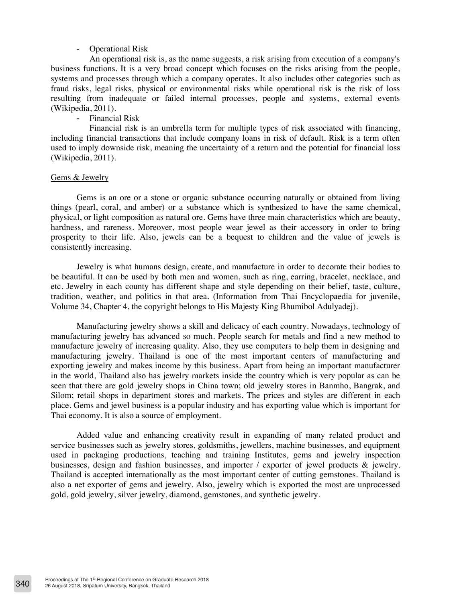# Operational Risk

An operational risk is, as the name suggests, a risk arising from execution of a company's business functions. It is a very broad concept which focuses on the risks arising from the people, systems and processes through which a company operates. It also includes other categories such as fraud risks, legal risks, physical or environmental risks while operational risk is the risk of loss resulting from inadequate or failed internal processes, people and systems, external events (Wikipedia, 2011).

- Financial Risk

Financial risk is an umbrella term for multiple types of risk associated with financing, including financial transactions that include company loans in risk of default. Risk is a term often used to imply downside risk, meaning the uncertainty of a return and the potential for financial loss (Wikipedia, 2011).

# Gems & Jewelry

Gems is an ore or a stone or organic substance occurring naturally or obtained from living things (pearl, coral, and amber) or a substance which is synthesized to have the same chemical, physical, or light composition as natural ore. Gems have three main characteristics which are beauty, hardness, and rareness. Moreover, most people wear jewel as their accessory in order to bring prosperity to their life. Also, jewels can be a bequest to children and the value of jewels is consistently increasing.

Jewelry is what humans design, create, and manufacture in order to decorate their bodies to be beautiful. It can be used by both men and women, such as ring, earring, bracelet, necklace, and etc. Jewelry in each county has different shape and style depending on their belief, taste, culture, tradition, weather, and politics in that area. (Information from Thai Encyclopaedia for juvenile, Volume 34, Chapter 4, the copyright belongs to His Majesty King Bhumibol Adulyadej).

Manufacturing jewelry shows a skill and delicacy of each country. Nowadays, technology of manufacturing jewelry has advanced so much. People search for metals and find a new method to manufacture jewelry of increasing quality. Also, they use computers to help them in designing and manufacturing jewelry. Thailand is one of the most important centers of manufacturing and exporting jewelry and makes income by this business. Apart from being an important manufacturer in the world, Thailand also has jewelry markets inside the country which is very popular as can be seen that there are gold jewelry shops in China town; old jewelry stores in Banmho, Bangrak, and Silom; retail shops in department stores and markets. The prices and styles are different in each place. Gems and jewel business is a popular industry and has exporting value which is important for Thai economy. It is also a source of employment.

Added value and enhancing creativity result in expanding of many related product and service businesses such as jewelry stores, goldsmiths, jewellers, machine businesses, and equipment used in packaging productions, teaching and training Institutes, gems and jewelry inspection businesses, design and fashion businesses, and importer / exporter of jewel products & jewelry. Thailand is accepted internationally as the most important center of cutting gemstones. Thailand is also a net exporter of gems and jewelry. Also, jewelry which is exported the most are unprocessed gold, gold jewelry, silver jewelry, diamond, gemstones, and synthetic jewelry.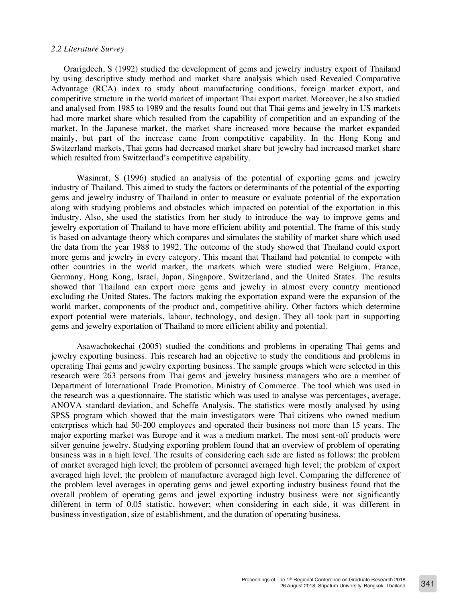### *2.2 Literature Survey*

Orarigdech, S (1992) studied the development of gems and jewelry industry export of Thailand by using descriptive study method and market share analysis which used Revealed Comparative Advantage (RCA) index to study about manufacturing conditions, foreign market export, and competitive structure in the world market of important Thai export market. Moreover, he also studied and analysed from 1985 to 1989 and the results found out that Thai gems and jewelry in US markets had more market share which resulted from the capability of competition and an expanding of the market. In the Japanese market, the market share increased more because the market expanded mainly, but part of the increase came from competitive capability. In the Hong Kong and Switzerland markets, Thai gems had decreased market share but jewelry had increased market share which resulted from Switzerland's competitive capability.

Wasinrat, S (1996) studied an analysis of the potential of exporting gems and jewelry industry of Thailand. This aimed to study the factors or determinants of the potential of the exporting gems and jewelry industry of Thailand in order to measure or evaluate potential of the exportation along with studying problems and obstacles which impacted on potential of the exportation in this industry. Also, she used the statistics from her study to introduce the way to improve gems and jewelry exportation of Thailand to have more efficient ability and potential. The frame of this study is based on advantage theory which compares and simulates the stability of market share which used the data from the year 1988 to 1992. The outcome of the study showed that Thailand could export more gems and jewelry in every category. This meant that Thailand had potential to compete with other countries in the world market, the markets which were studied were Belgium, France, Germany, Hong Kong, Israel, Japan, Singapore, Switzerland, and the United States. The results showed that Thailand can export more gems and jewelry in almost every country mentioned excluding the United States. The factors making the exportation expand were the expansion of the world market, components of the product and, competitive ability. Other factors which determine export potential were materials, labour, technology, and design. They all took part in supporting gems and jewelry exportation of Thailand to more efficient ability and potential.

Asawachokechai (2005) studied the conditions and problems in operating Thai gems and jewelry exporting business. This research had an objective to study the conditions and problems in operating Thai gems and jewelry exporting business. The sample groups which were selected in this research were 263 persons from Thai gems and jewelry business managers who are a member of Department of International Trade Promotion, Ministry of Commerce. The tool which was used in the research was a questionnaire. The statistic which was used to analyse was percentages, average, ANOVA standard deviation, and Scheffe Analysis. The statistics were mostly analysed by using SPSS program which showed that the main investigators were Thai citizens who owned medium enterprises which had 50-200 employees and operated their business not more than 15 years. The major exporting market was Europe and it was a medium market. The most sent-off products were silver genuine jewelry. Studying exporting problem found that an overview of problem of operating business was in a high level. The results of considering each side are listed as follows: the problem of market averaged high level; the problem of personnel averaged high level; the problem of export averaged high level; the problem of manufacture averaged high level. Comparing the difference of the problem level averages in operating gems and jewel exporting industry business found that the overall problem of operating gems and jewel exporting industry business were not significantly different in term of 0.05 statistic, however; when considering in each side, it was different in business investigation, size of establishment, and the duration of operating business.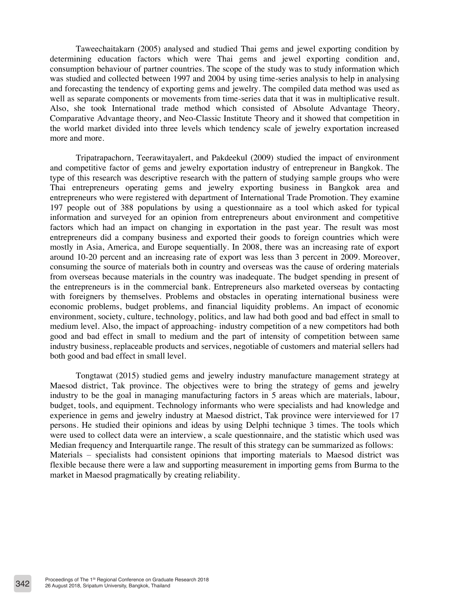Taweechaitakarn (2005) analysed and studied Thai gems and jewel exporting condition by determining education factors which were Thai gems and jewel exporting condition and, consumption behaviour of partner countries. The scope of the study was to study information which was studied and collected between 1997 and 2004 by using time-series analysis to help in analysing and forecasting the tendency of exporting gems and jewelry. The compiled data method was used as well as separate components or movements from time-series data that it was in multiplicative result. Also, she took International trade method which consisted of Absolute Advantage Theory, Comparative Advantage theory, and Neo-Classic Institute Theory and it showed that competition in the world market divided into three levels which tendency scale of jewelry exportation increased more and more.

Tripatrapachorn, Teerawitayalert, and Pakdeekul (2009) studied the impact of environment and competitive factor of gems and jewelry exportation industry of entrepreneur in Bangkok. The type of this research was descriptive research with the pattern of studying sample groups who were Thai entrepreneurs operating gems and jewelry exporting business in Bangkok area and entrepreneurs who were registered with department of International Trade Promotion. They examine 197 people out of 388 populations by using a questionnaire as a tool which asked for typical information and surveyed for an opinion from entrepreneurs about environment and competitive factors which had an impact on changing in exportation in the past year. The result was most entrepreneurs did a company business and exported their goods to foreign countries which were mostly in Asia, America, and Europe sequentially. In 2008, there was an increasing rate of export around 10-20 percent and an increasing rate of export was less than 3 percent in 2009. Moreover, consuming the source of materials both in country and overseas was the cause of ordering materials from overseas because materials in the country was inadequate. The budget spending in present of the entrepreneurs is in the commercial bank. Entrepreneurs also marketed overseas by contacting with foreigners by themselves. Problems and obstacles in operating international business were economic problems, budget problems, and financial liquidity problems. An impact of economic environment, society, culture, technology, politics, and law had both good and bad effect in small to medium level. Also, the impact of approaching- industry competition of a new competitors had both good and bad effect in small to medium and the part of intensity of competition between same industry business, replaceable products and services, negotiable of customers and material sellers had both good and bad effect in small level.

Tongtawat (2015) studied gems and jewelry industry manufacture management strategy at Maesod district, Tak province. The objectives were to bring the strategy of gems and jewelry industry to be the goal in managing manufacturing factors in 5 areas which are materials, labour, budget, tools, and equipment. Technology informants who were specialists and had knowledge and experience in gems and jewelry industry at Maesod district, Tak province were interviewed for 17 persons. He studied their opinions and ideas by using Delphi technique 3 times. The tools which were used to collect data were an interview, a scale questionnaire, and the statistic which used was Median frequency and Interquartile range. The result of this strategy can be summarized as follows: Materials – specialists had consistent opinions that importing materials to Maesod district was flexible because there were a law and supporting measurement in importing gems from Burma to the market in Maesod pragmatically by creating reliability.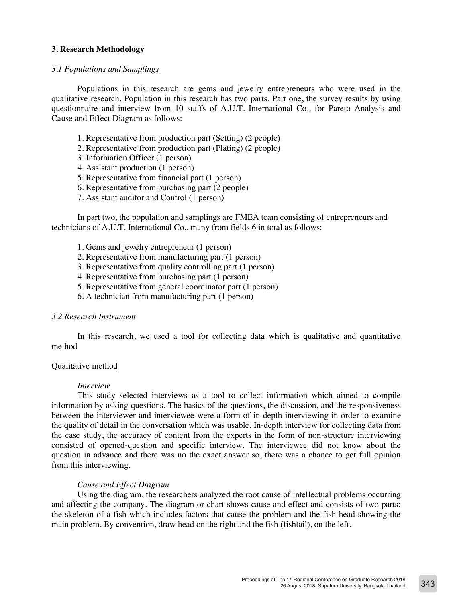# **3. Research Methodology**

# *3.1 Populations and Samplings*

Populations in this research are gems and jewelry entrepreneurs who were used in the qualitative research. Population in this research has two parts. Part one, the survey results by using questionnaire and interview from 10 staffs of A.U.T. International Co., for Pareto Analysis and Cause and Effect Diagram as follows:

- 1. Representative from production part (Setting) (2 people)
- 2. Representative from production part (Plating) (2 people)
- 3. Information Officer (1 person)
- 4. Assistant production (1 person)
- 5. Representative from financial part (1 person)
- 6. Representative from purchasing part (2 people)
- 7. Assistant auditor and Control (1 person)

In part two, the population and samplings are FMEA team consisting of entrepreneurs and technicians of A.U.T. International Co., many from fields 6 in total as follows:

- 1. Gems and jewelry entrepreneur (1 person)
- 2. Representative from manufacturing part (1 person)
- 3. Representative from quality controlling part (1 person)
- 4. Representative from purchasing part (1 person)
- 5. Representative from general coordinator part (1 person)
- 6. A technician from manufacturing part (1 person)

# *3.2 Research Instrument*

In this research, we used a tool for collecting data which is qualitative and quantitative method

# Qualitative method

#### *Interview*

This study selected interviews as a tool to collect information which aimed to compile information by asking questions. The basics of the questions, the discussion, and the responsiveness between the interviewer and interviewee were a form of in-depth interviewing in order to examine the quality of detail in the conversation which was usable. In-depth interview for collecting data from the case study, the accuracy of content from the experts in the form of non-structure interviewing consisted of opened-question and specific interview. The interviewee did not know about the question in advance and there was no the exact answer so, there was a chance to get full opinion from this interviewing.

# *Cause and Effect Diagram*

Using the diagram, the researchers analyzed the root cause of intellectual problems occurring and affecting the company. The diagram or chart shows cause and effect and consists of two parts: the skeleton of a fish which includes factors that cause the problem and the fish head showing the main problem. By convention, draw head on the right and the fish (fishtail), on the left.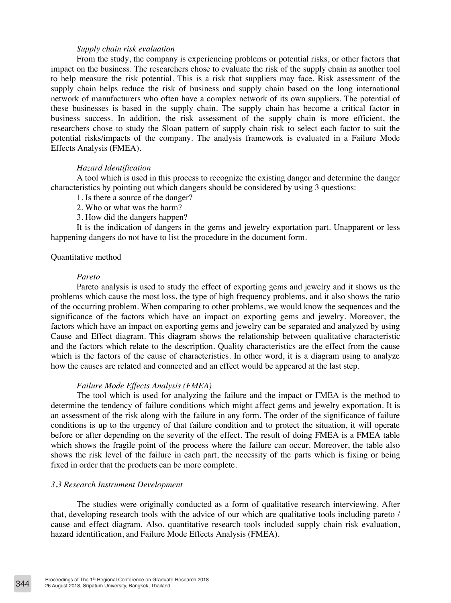# *Supply chain risk evaluation*

From the study, the company is experiencing problems or potential risks, or other factors that impact on the business. The researchers chose to evaluate the risk of the supply chain as another tool to help measure the risk potential. This is a risk that suppliers may face. Risk assessment of the supply chain helps reduce the risk of business and supply chain based on the long international network of manufacturers who often have a complex network of its own suppliers. The potential of these businesses is based in the supply chain. The supply chain has become a critical factor in business success. In addition, the risk assessment of the supply chain is more efficient, the researchers chose to study the Sloan pattern of supply chain risk to select each factor to suit the potential risks/impacts of the company. The analysis framework is evaluated in a Failure Mode Effects Analysis (FMEA).

# *Hazard Identification*

A tool which is used in this process to recognize the existing danger and determine the danger characteristics by pointing out which dangers should be considered by using 3 questions:

- 1. Is there a source of the danger?
- 2. Who or what was the harm?
- 3. How did the dangers happen?

It is the indication of dangers in the gems and jewelry exportation part. Unapparent or less happening dangers do not have to list the procedure in the document form.

# Quantitative method

# *Pareto*

Pareto analysis is used to study the effect of exporting gems and jewelry and it shows us the problems which cause the most loss, the type of high frequency problems, and it also shows the ratio of the occurring problem. When comparing to other problems, we would know the sequences and the significance of the factors which have an impact on exporting gems and jewelry. Moreover, the factors which have an impact on exporting gems and jewelry can be separated and analyzed by using Cause and Effect diagram. This diagram shows the relationship between qualitative characteristic and the factors which relate to the description. Quality characteristics are the effect from the cause which is the factors of the cause of characteristics. In other word, it is a diagram using to analyze how the causes are related and connected and an effect would be appeared at the last step.

# *Failure Mode Effects Analysis (FMEA)*

The tool which is used for analyzing the failure and the impact or FMEA is the method to determine the tendency of failure conditions which might affect gems and jewelry exportation. It is an assessment of the risk along with the failure in any form. The order of the significance of failure conditions is up to the urgency of that failure condition and to protect the situation, it will operate before or after depending on the severity of the effect. The result of doing FMEA is a FMEA table which shows the fragile point of the process where the failure can occur. Moreover, the table also shows the risk level of the failure in each part, the necessity of the parts which is fixing or being fixed in order that the products can be more complete.

# *3.3 Research Instrument Development*

The studies were originally conducted as a form of qualitative research interviewing. After that, developing research tools with the advice of our which are qualitative tools including pareto / cause and effect diagram. Also, quantitative research tools included supply chain risk evaluation, hazard identification, and Failure Mode Effects Analysis (FMEA).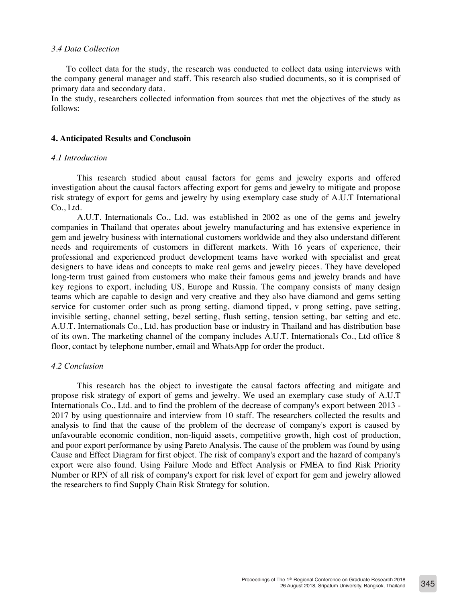# *3.4 Data Collection*

To collect data for the study, the research was conducted to collect data using interviews with the company general manager and staff. This research also studied documents, so it is comprised of primary data and secondary data.

In the study, researchers collected information from sources that met the objectives of the study as follows:

### **4. Anticipated Results and Conclusoin**

# *4.1 Introduction*

This research studied about causal factors for gems and jewelry exports and offered investigation about the causal factors affecting export for gems and jewelry to mitigate and propose risk strategy of export for gems and jewelry by using exemplary case study of A.U.T International Co., Ltd.

A.U.T. Internationals Co., Ltd. was established in 2002 as one of the gems and jewelry companies in Thailand that operates about jewelry manufacturing and has extensive experience in gem and jewelry business with international customers worldwide and they also understand different needs and requirements of customers in different markets. With 16 years of experience, their professional and experienced product development teams have worked with specialist and great designers to have ideas and concepts to make real gems and jewelry pieces. They have developed long-term trust gained from customers who make their famous gems and jewelry brands and have key regions to export, including US, Europe and Russia. The company consists of many design teams which are capable to design and very creative and they also have diamond and gems setting service for customer order such as prong setting, diamond tipped, v prong setting, pave setting, invisible setting, channel setting, bezel setting, flush setting, tension setting, bar setting and etc. A.U.T. Internationals Co., Ltd. has production base or industry in Thailand and has distribution base of its own. The marketing channel of the company includes A.U.T. Internationals Co., Ltd office 8 floor, contact by telephone number, email and WhatsApp for order the product.

# *4.2 Conclusion*

This research has the object to investigate the causal factors affecting and mitigate and propose risk strategy of export of gems and jewelry. We used an exemplary case study of A.U.T Internationals Co., Ltd. and to find the problem of the decrease of company's export between 2013 - 2017 by using questionnaire and interview from 10 staff. The researchers collected the results and analysis to find that the cause of the problem of the decrease of company's export is caused by unfavourable economic condition, non-liquid assets, competitive growth, high cost of production, and poor export performance by using Pareto Analysis. The cause of the problem was found by using Cause and Effect Diagram for first object. The risk of company's export and the hazard of company's export were also found. Using Failure Mode and Effect Analysis or FMEA to find Risk Priority Number or RPN of all risk of company's export for risk level of export for gem and jewelry allowed the researchers to find Supply Chain Risk Strategy for solution.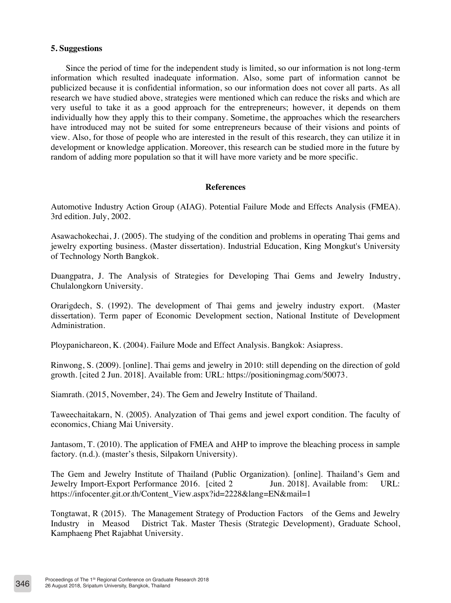# **5. Suggestions**

 Since the period of time for the independent study is limited, so our information is not long-term information which resulted inadequate information. Also, some part of information cannot be publicized because it is confidential information, so our information does not cover all parts. As all research we have studied above, strategies were mentioned which can reduce the risks and which are very useful to take it as a good approach for the entrepreneurs; however, it depends on them individually how they apply this to their company. Sometime, the approaches which the researchers have introduced may not be suited for some entrepreneurs because of their visions and points of view. Also, for those of people who are interested in the result of this research, they can utilize it in development or knowledge application. Moreover, this research can be studied more in the future by random of adding more population so that it will have more variety and be more specific.

# **References**

Automotive Industry Action Group (AIAG). Potential Failure Mode and Effects Analysis (FMEA). 3rd edition. July, 2002.

Asawachokechai, J. (2005). The studying of the condition and problems in operating Thai gems and jewelry exporting business. (Master dissertation). Industrial Education, King Mongkut's University of Technology North Bangkok.

Duangpatra, J. The Analysis of Strategies for Developing Thai Gems and Jewelry Industry, Chulalongkorn University.

Orarigdech, S. (1992). The development of Thai gems and jewelry industry export. (Master dissertation). Term paper of Economic Development section, National Institute of Development Administration.

Ploypanichareon, K. (2004). Failure Mode and Effect Analysis. Bangkok: Asiapress.

Rinwong, S. (2009). [online]. Thai gems and jewelry in 2010: still depending on the direction of gold growth. [cited 2 Jun. 2018]. Available from: URL: https://positioningmag.com/50073.

Siamrath. (2015, November, 24). The Gem and Jewelry Institute of Thailand.

Taweechaitakarn, N. (2005). Analyzation of Thai gems and jewel export condition. The faculty of economics, Chiang Mai University.

Jantasom, T. (2010). The application of FMEA and AHP to improve the bleaching process in sample factory. (n.d.). (master's thesis, Silpakorn University).

The Gem and Jewelry Institute of Thailand (Public Organization). [online]. Thailand's Gem and Jewelry Import-Export Performance 2016. [cited 2 Jun. 2018]. Available from: URL: https://infocenter.git.or.th/Content\_View.aspx?id=2228&lang=EN&mail=1

Tongtawat, R (2015). The Management Strategy of Production Factors of the Gems and Jewelry Industry in Measod District Tak. Master Thesis (Strategic Development), Graduate School, Kamphaeng Phet Rajabhat University.